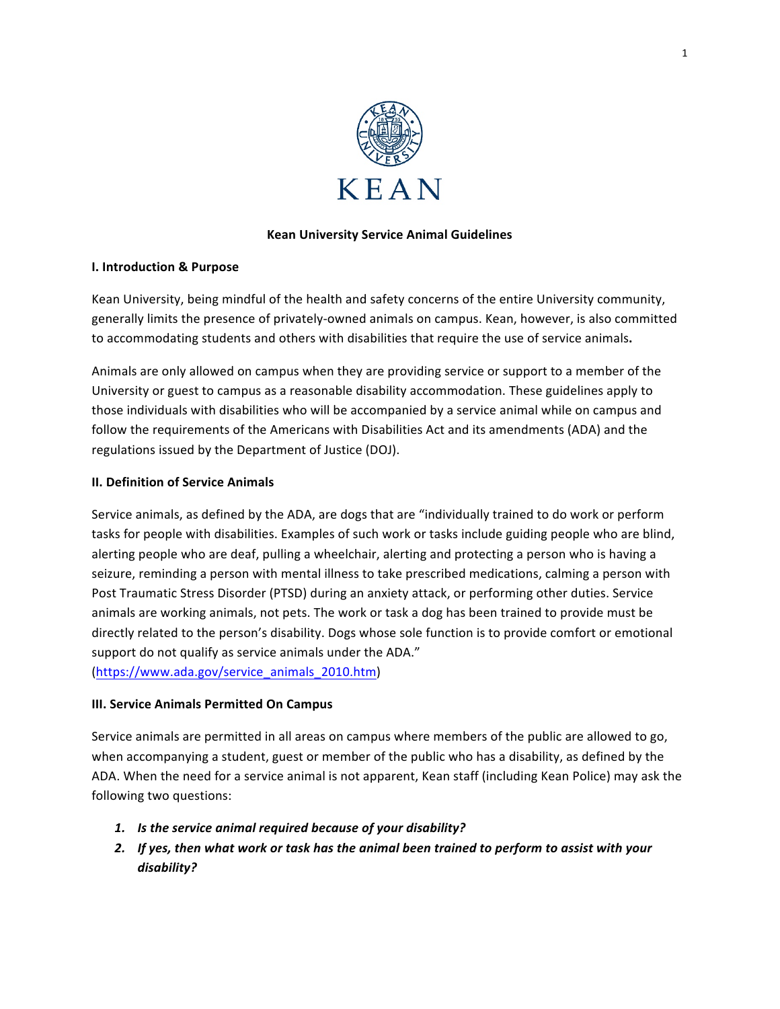

## **Kean University Service Animal Guidelines**

#### **I. Introduction & Purpose**

Kean University, being mindful of the health and safety concerns of the entire University community, generally limits the presence of privately-owned animals on campus. Kean, however, is also committed to accommodating students and others with disabilities that require the use of service animals.

Animals are only allowed on campus when they are providing service or support to a member of the University or guest to campus as a reasonable disability accommodation. These guidelines apply to those individuals with disabilities who will be accompanied by a service animal while on campus and follow the requirements of the Americans with Disabilities Act and its amendments (ADA) and the regulations issued by the Department of Justice (DOJ).

## **II. Definition of Service Animals**

Service animals, as defined by the ADA, are dogs that are "individually trained to do work or perform tasks for people with disabilities. Examples of such work or tasks include guiding people who are blind, alerting people who are deaf, pulling a wheelchair, alerting and protecting a person who is having a seizure, reminding a person with mental illness to take prescribed medications, calming a person with Post Traumatic Stress Disorder (PTSD) during an anxiety attack, or performing other duties. Service animals are working animals, not pets. The work or task a dog has been trained to provide must be directly related to the person's disability. Dogs whose sole function is to provide comfort or emotional support do not qualify as service animals under the ADA." (https://www.ada.gov/service\_animals\_2010.htm)

## **III. Service Animals Permitted On Campus**

Service animals are permitted in all areas on campus where members of the public are allowed to go, when accompanying a student, guest or member of the public who has a disability, as defined by the ADA. When the need for a service animal is not apparent, Kean staff (including Kean Police) may ask the following two questions:

- 1. Is the service animal required because of your disability?
- 2. If yes, then what work or task has the animal been trained to perform to assist with your *disability?*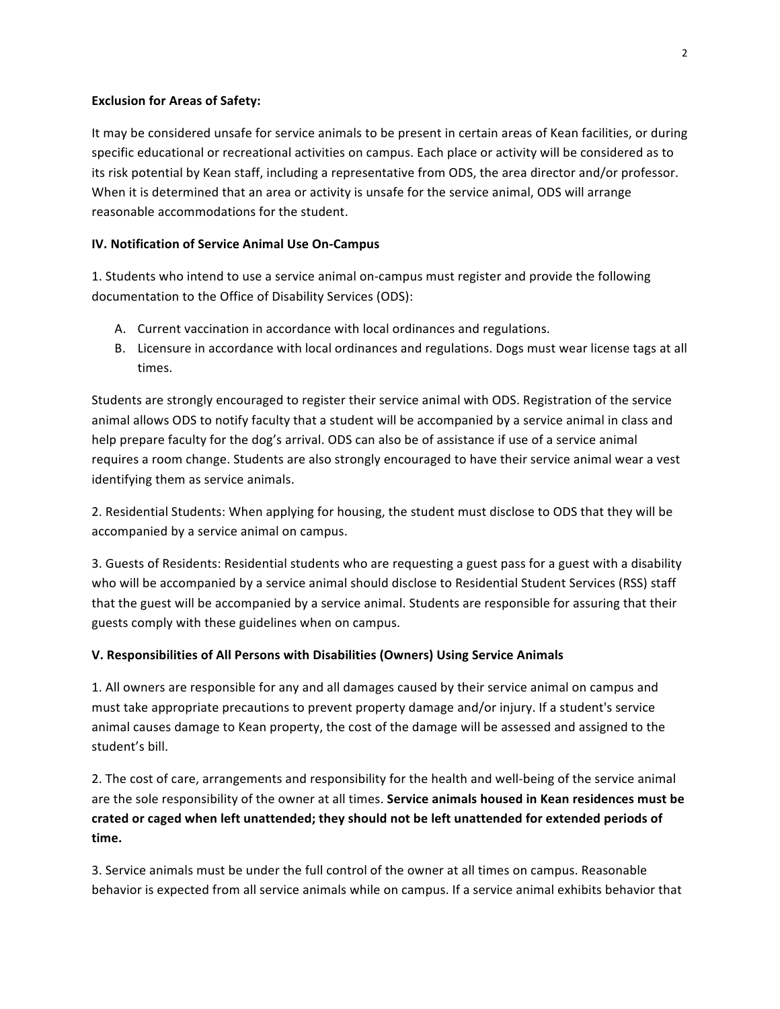#### **Exclusion for Areas of Safety:**

It may be considered unsafe for service animals to be present in certain areas of Kean facilities, or during specific educational or recreational activities on campus. Each place or activity will be considered as to its risk potential by Kean staff, including a representative from ODS, the area director and/or professor. When it is determined that an area or activity is unsafe for the service animal, ODS will arrange reasonable accommodations for the student.

#### **IV. Notification of Service Animal Use On-Campus**

1. Students who intend to use a service animal on-campus must register and provide the following documentation to the Office of Disability Services (ODS):

- A. Current vaccination in accordance with local ordinances and regulations.
- B. Licensure in accordance with local ordinances and regulations. Dogs must wear license tags at all times.

Students are strongly encouraged to register their service animal with ODS. Registration of the service animal allows ODS to notify faculty that a student will be accompanied by a service animal in class and help prepare faculty for the dog's arrival. ODS can also be of assistance if use of a service animal requires a room change. Students are also strongly encouraged to have their service animal wear a vest identifying them as service animals.

2. Residential Students: When applying for housing, the student must disclose to ODS that they will be accompanied by a service animal on campus.

3. Guests of Residents: Residential students who are requesting a guest pass for a guest with a disability who will be accompanied by a service animal should disclose to Residential Student Services (RSS) staff that the guest will be accompanied by a service animal. Students are responsible for assuring that their guests comply with these guidelines when on campus.

## **V. Responsibilities of All Persons with Disabilities (Owners) Using Service Animals**

1. All owners are responsible for any and all damages caused by their service animal on campus and must take appropriate precautions to prevent property damage and/or injury. If a student's service animal causes damage to Kean property, the cost of the damage will be assessed and assigned to the student's bill.

2. The cost of care, arrangements and responsibility for the health and well-being of the service animal are the sole responsibility of the owner at all times. Service animals housed in Kean residences must be crated or caged when left unattended; they should not be left unattended for extended periods of **time.** 

3. Service animals must be under the full control of the owner at all times on campus. Reasonable behavior is expected from all service animals while on campus. If a service animal exhibits behavior that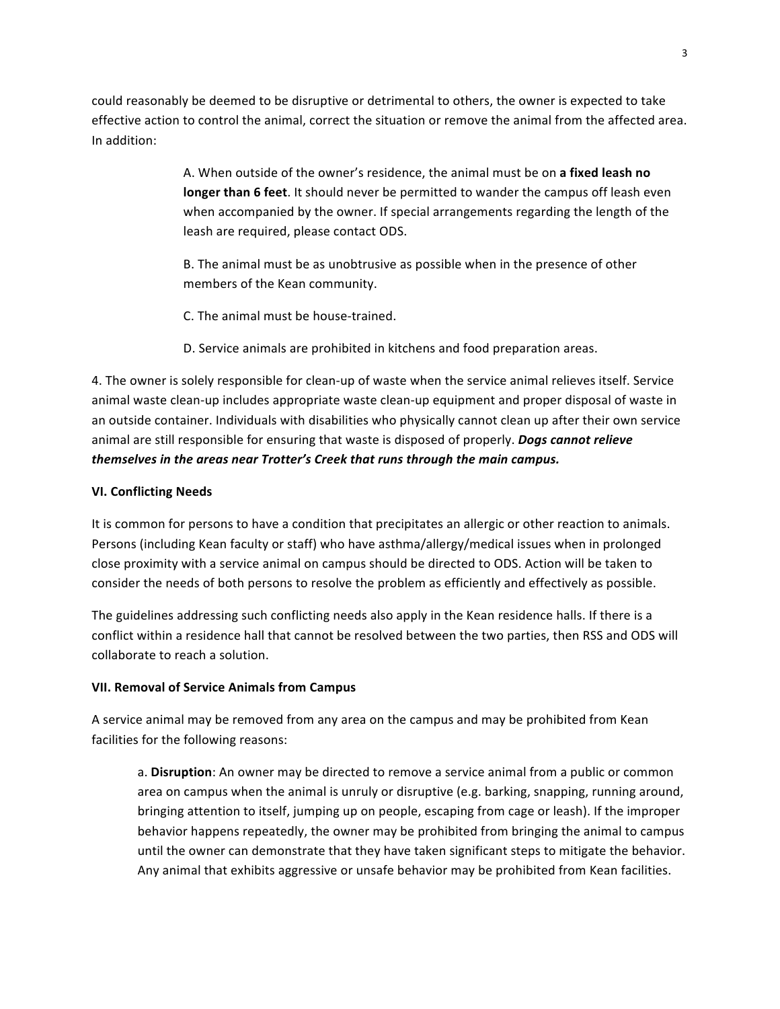could reasonably be deemed to be disruptive or detrimental to others, the owner is expected to take effective action to control the animal, correct the situation or remove the animal from the affected area. In addition:

> A. When outside of the owner's residence, the animal must be on a fixed leash no **longer than 6 feet**. It should never be permitted to wander the campus off leash even when accompanied by the owner. If special arrangements regarding the length of the leash are required, please contact ODS.

B. The animal must be as unobtrusive as possible when in the presence of other members of the Kean community.

C. The animal must be house-trained.

D. Service animals are prohibited in kitchens and food preparation areas.

4. The owner is solely responsible for clean-up of waste when the service animal relieves itself. Service animal waste clean-up includes appropriate waste clean-up equipment and proper disposal of waste in an outside container. Individuals with disabilities who physically cannot clean up after their own service animal are still responsible for ensuring that waste is disposed of properly. *Dogs cannot relieve themselves in the areas near Trotter's Creek that runs through the main campus.* 

## **VI. Conflicting Needs**

It is common for persons to have a condition that precipitates an allergic or other reaction to animals. Persons (including Kean faculty or staff) who have asthma/allergy/medical issues when in prolonged close proximity with a service animal on campus should be directed to ODS. Action will be taken to consider the needs of both persons to resolve the problem as efficiently and effectively as possible.

The guidelines addressing such conflicting needs also apply in the Kean residence halls. If there is a conflict within a residence hall that cannot be resolved between the two parties, then RSS and ODS will collaborate to reach a solution.

## **VII. Removal of Service Animals from Campus**

A service animal may be removed from any area on the campus and may be prohibited from Kean facilities for the following reasons:

a. **Disruption**: An owner may be directed to remove a service animal from a public or common area on campus when the animal is unruly or disruptive (e.g. barking, snapping, running around, bringing attention to itself, jumping up on people, escaping from cage or leash). If the improper behavior happens repeatedly, the owner may be prohibited from bringing the animal to campus until the owner can demonstrate that they have taken significant steps to mitigate the behavior. Any animal that exhibits aggressive or unsafe behavior may be prohibited from Kean facilities.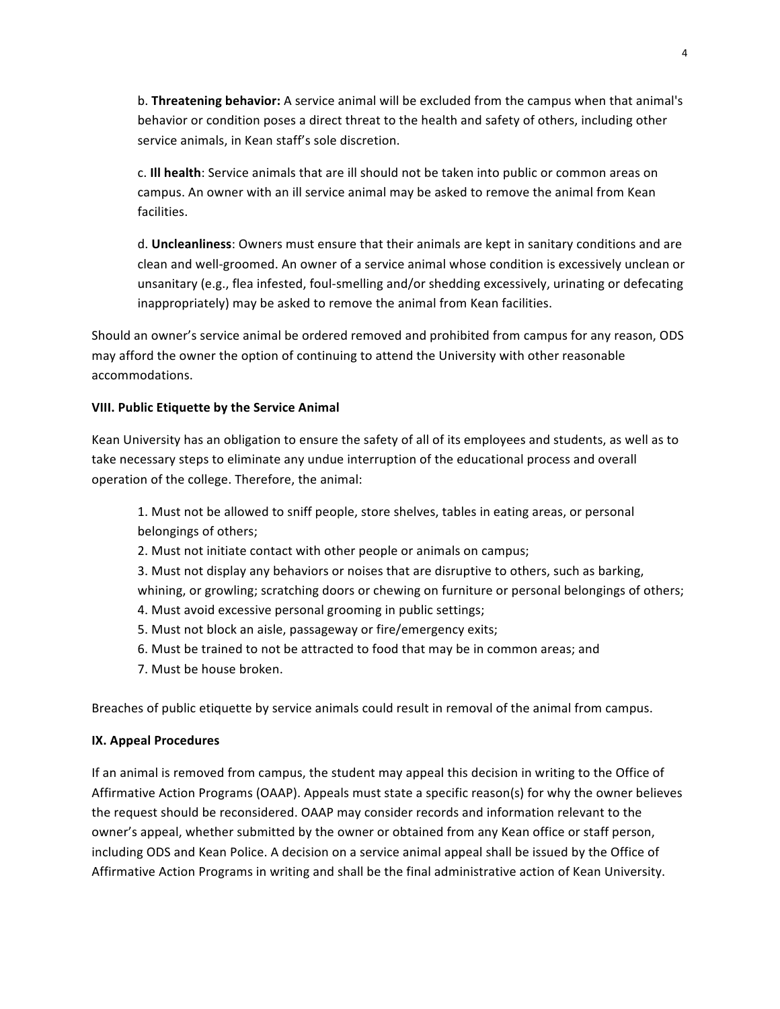b. **Threatening behavior:** A service animal will be excluded from the campus when that animal's behavior or condition poses a direct threat to the health and safety of others, including other service animals, in Kean staff's sole discretion.

c. **III health**: Service animals that are ill should not be taken into public or common areas on campus. An owner with an ill service animal may be asked to remove the animal from Kean facilities. 

d. Uncleanliness: Owners must ensure that their animals are kept in sanitary conditions and are clean and well-groomed. An owner of a service animal whose condition is excessively unclean or unsanitary (e.g., flea infested, foul-smelling and/or shedding excessively, urinating or defecating inappropriately) may be asked to remove the animal from Kean facilities.

Should an owner's service animal be ordered removed and prohibited from campus for any reason, ODS may afford the owner the option of continuing to attend the University with other reasonable accommodations. 

#### **VIII. Public Etiquette by the Service Animal**

Kean University has an obligation to ensure the safety of all of its employees and students, as well as to take necessary steps to eliminate any undue interruption of the educational process and overall operation of the college. Therefore, the animal:

1. Must not be allowed to sniff people, store shelves, tables in eating areas, or personal belongings of others;

2. Must not initiate contact with other people or animals on campus;

3. Must not display any behaviors or noises that are disruptive to others, such as barking, whining, or growling; scratching doors or chewing on furniture or personal belongings of others;

- 4. Must avoid excessive personal grooming in public settings;
- 5. Must not block an aisle, passageway or fire/emergency exits;
- 6. Must be trained to not be attracted to food that may be in common areas; and
- 7. Must be house broken.

Breaches of public etiquette by service animals could result in removal of the animal from campus.

## **IX. Appeal Procedures**

If an animal is removed from campus, the student may appeal this decision in writing to the Office of Affirmative Action Programs (OAAP). Appeals must state a specific reason(s) for why the owner believes the request should be reconsidered. OAAP may consider records and information relevant to the owner's appeal, whether submitted by the owner or obtained from any Kean office or staff person, including ODS and Kean Police. A decision on a service animal appeal shall be issued by the Office of Affirmative Action Programs in writing and shall be the final administrative action of Kean University.